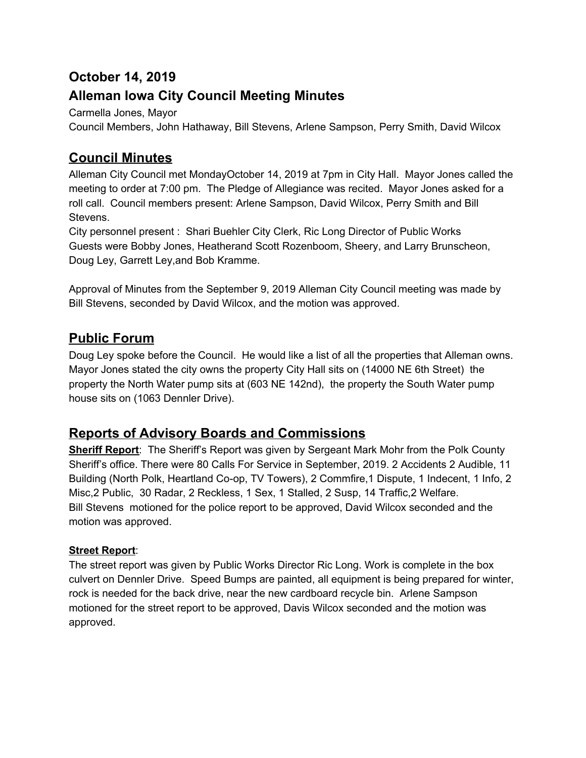# **October 14, 2019**

# **Alleman Iowa City Council Meeting Minutes**

Carmella Jones, Mayor

Council Members, John Hathaway, Bill Stevens, Arlene Sampson, Perry Smith, David Wilcox

### **Council Minutes**

Alleman City Council met MondayOctober 14, 2019 at 7pm in City Hall. Mayor Jones called the meeting to order at 7:00 pm. The Pledge of Allegiance was recited. Mayor Jones asked for a roll call. Council members present: Arlene Sampson, David Wilcox, Perry Smith and Bill Stevens.

City personnel present : Shari Buehler City Clerk, Ric Long Director of Public Works Guests were Bobby Jones, Heatherand Scott Rozenboom, Sheery, and Larry Brunscheon, Doug Ley, Garrett Ley,and Bob Kramme.

Approval of Minutes from the September 9, 2019 Alleman City Council meeting was made by Bill Stevens, seconded by David Wilcox, and the motion was approved.

### **Public Forum**

Doug Ley spoke before the Council. He would like a list of all the properties that Alleman owns. Mayor Jones stated the city owns the property City Hall sits on (14000 NE 6th Street) the property the North Water pump sits at (603 NE 142nd), the property the South Water pump house sits on (1063 Dennler Drive).

# **Reports of Advisory Boards and Commissions**

**Sheriff Report**: The Sheriff's Report was given by Sergeant Mark Mohr from the Polk County Sheriff's office. There were 80 Calls For Service in September, 2019. 2 Accidents 2 Audible, 11 Building (North Polk, Heartland Co-op, TV Towers), 2 Commfire,1 Dispute, 1 Indecent, 1 Info, 2 Misc,2 Public, 30 Radar, 2 Reckless, 1 Sex, 1 Stalled, 2 Susp, 14 Traffic,2 Welfare. Bill Stevens motioned for the police report to be approved, David Wilcox seconded and the motion was approved.

### **Street Report**:

The street report was given by Public Works Director Ric Long. Work is complete in the box culvert on Dennler Drive. Speed Bumps are painted, all equipment is being prepared for winter, rock is needed for the back drive, near the new cardboard recycle bin. Arlene Sampson motioned for the street report to be approved, Davis Wilcox seconded and the motion was approved.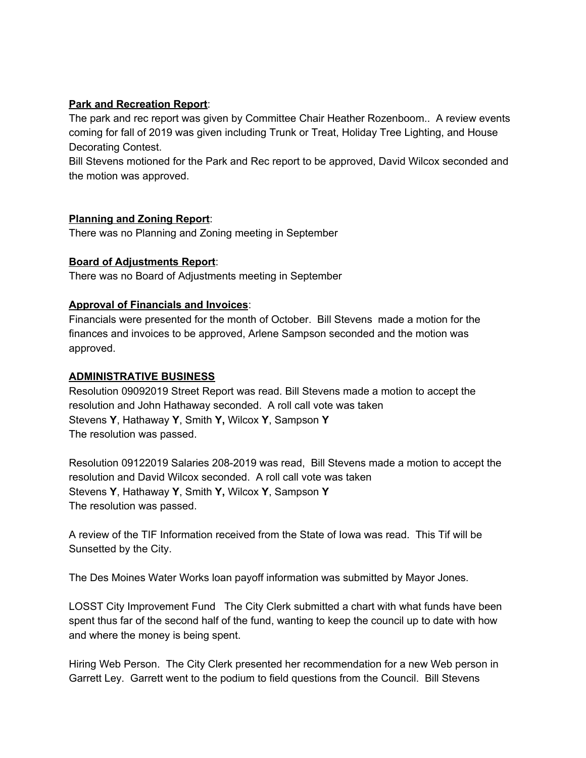#### **Park and Recreation Report**:

The park and rec report was given by Committee Chair Heather Rozenboom.. A review events coming for fall of 2019 was given including Trunk or Treat, Holiday Tree Lighting, and House Decorating Contest.

Bill Stevens motioned for the Park and Rec report to be approved, David Wilcox seconded and the motion was approved.

#### **Planning and Zoning Report**:

There was no Planning and Zoning meeting in September

#### **Board of Adjustments Report**:

There was no Board of Adjustments meeting in September

#### **Approval of Financials and Invoices**:

Financials were presented for the month of October. Bill Stevens made a motion for the finances and invoices to be approved, Arlene Sampson seconded and the motion was approved.

#### **ADMINISTRATIVE BUSINESS**

Resolution 09092019 Street Report was read. Bill Stevens made a motion to accept the resolution and John Hathaway seconded. A roll call vote was taken Stevens **Y**, Hathaway **Y**, Smith **Y,** Wilcox **Y**, Sampson **Y** The resolution was passed.

Resolution 09122019 Salaries 208-2019 was read, Bill Stevens made a motion to accept the resolution and David Wilcox seconded. A roll call vote was taken Stevens **Y**, Hathaway **Y**, Smith **Y,** Wilcox **Y**, Sampson **Y** The resolution was passed.

A review of the TIF Information received from the State of Iowa was read. This Tif will be Sunsetted by the City.

The Des Moines Water Works loan payoff information was submitted by Mayor Jones.

LOSST City Improvement Fund The City Clerk submitted a chart with what funds have been spent thus far of the second half of the fund, wanting to keep the council up to date with how and where the money is being spent.

Hiring Web Person. The City Clerk presented her recommendation for a new Web person in Garrett Ley. Garrett went to the podium to field questions from the Council. Bill Stevens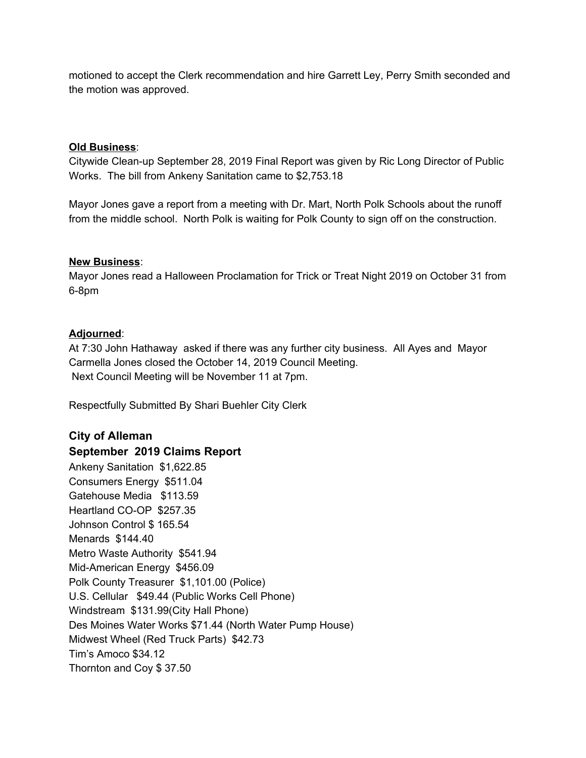motioned to accept the Clerk recommendation and hire Garrett Ley, Perry Smith seconded and the motion was approved.

#### **Old Business**:

Citywide Clean-up September 28, 2019 Final Report was given by Ric Long Director of Public Works. The bill from Ankeny Sanitation came to \$2,753.18

Mayor Jones gave a report from a meeting with Dr. Mart, North Polk Schools about the runoff from the middle school. North Polk is waiting for Polk County to sign off on the construction.

#### **New Business**:

Mayor Jones read a Halloween Proclamation for Trick or Treat Night 2019 on October 31 from 6-8pm

#### **Adjourned**:

At 7:30 John Hathaway asked if there was any further city business. All Ayes and Mayor Carmella Jones closed the October 14, 2019 Council Meeting. Next Council Meeting will be November 11 at 7pm.

Respectfully Submitted By Shari Buehler City Clerk

### **City of Alleman September 2019 Claims Report** Ankeny Sanitation \$1,622.85 Consumers Energy \$511.04 Gatehouse Media \$113.59 Heartland CO-OP \$257.35 Johnson Control \$ 165.54 Menards \$144.40 Metro Waste Authority \$541.94 Mid-American Energy \$456.09 Polk County Treasurer \$1,101.00 (Police) U.S. Cellular \$49.44 (Public Works Cell Phone) Windstream \$131.99(City Hall Phone) Des Moines Water Works \$71.44 (North Water Pump House) Midwest Wheel (Red Truck Parts) \$42.73 Tim's Amoco \$34.12 Thornton and Coy \$ 37.50